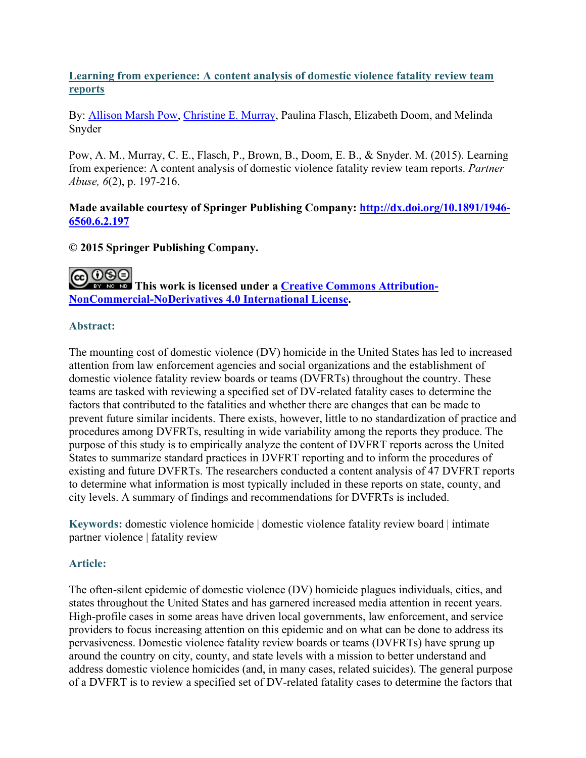# **Learning from experience: A content analysis of domestic violence fatality review team reports**

By: [Allison Marsh Pow,](http://libres.uncg.edu/ir/uncg/clist.aspx?id=8003) [Christine E. Murray,](https://libres.uncg.edu/ir/uncg/clist.aspx?id=894) Paulina Flasch, Elizabeth Doom, and Melinda Snyder

Pow, A. M., Murray, C. E., Flasch, P., Brown, B., Doom, E. B., & Snyder. M. (2015). Learning from experience: A content analysis of domestic violence fatality review team reports. *Partner Abuse, 6*(2), p. 197-216.

## **Made available courtesy of Springer Publishing Company: [http://dx.doi.org/10.1891/1946-](http://dx.doi.org/10.1891/1946-6560.6.2.197) [6560.6.2.197](http://dx.doi.org/10.1891/1946-6560.6.2.197)**

# **© 2015 Springer Publishing Company.**

@0®0 **This work is licensed under a [Creative Commons Attribution-](http://creativecommons.org/licenses/by-nc-nd/4.0/)[NonCommercial-NoDerivatives 4.0 International License.](http://creativecommons.org/licenses/by-nc-nd/4.0/)**

## **Abstract:**

The mounting cost of domestic violence (DV) homicide in the United States has led to increased attention from law enforcement agencies and social organizations and the establishment of domestic violence fatality review boards or teams (DVFRTs) throughout the country. These teams are tasked with reviewing a specified set of DV-related fatality cases to determine the factors that contributed to the fatalities and whether there are changes that can be made to prevent future similar incidents. There exists, however, little to no standardization of practice and procedures among DVFRTs, resulting in wide variability among the reports they produce. The purpose of this study is to empirically analyze the content of DVFRT reports across the United States to summarize standard practices in DVFRT reporting and to inform the procedures of existing and future DVFRTs. The researchers conducted a content analysis of 47 DVFRT reports to determine what information is most typically included in these reports on state, county, and city levels. A summary of findings and recommendations for DVFRTs is included.

**Keywords:** domestic violence homicide | domestic violence fatality review board | intimate partner violence | fatality review

# **Article:**

The often-silent epidemic of domestic violence (DV) homicide plagues individuals, cities, and states throughout the United States and has garnered increased media attention in recent years. High-profile cases in some areas have driven local governments, law enforcement, and service providers to focus increasing attention on this epidemic and on what can be done to address its pervasiveness. Domestic violence fatality review boards or teams (DVFRTs) have sprung up around the country on city, county, and state levels with a mission to better understand and address domestic violence homicides (and, in many cases, related suicides). The general purpose of a DVFRT is to review a specified set of DV-related fatality cases to determine the factors that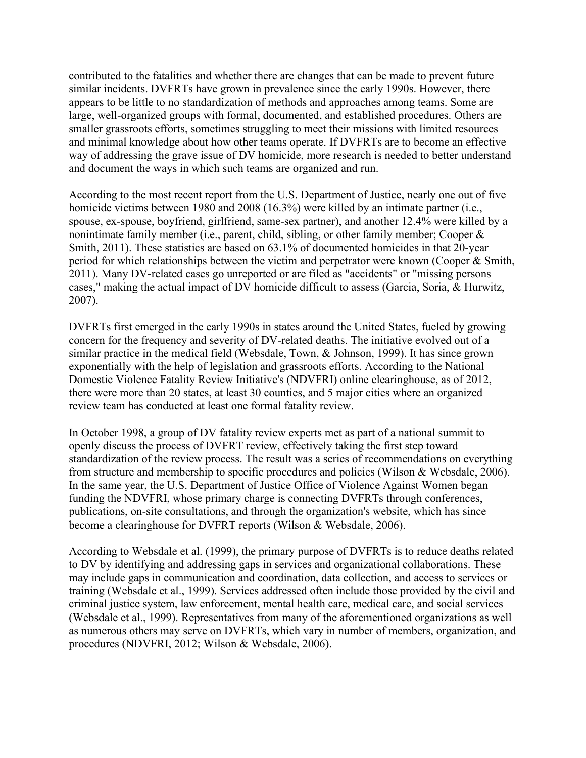contributed to the fatalities and whether there are changes that can be made to prevent future similar incidents. DVFRTs have grown in prevalence since the early 1990s. However, there appears to be little to no standardization of methods and approaches among teams. Some are large, well-organized groups with formal, documented, and established procedures. Others are smaller grassroots efforts, sometimes struggling to meet their missions with limited resources and minimal knowledge about how other teams operate. If DVFRTs are to become an effective way of addressing the grave issue of DV homicide, more research is needed to better understand and document the ways in which such teams are organized and run.

According to the most recent report from the U.S. Department of Justice, nearly one out of five homicide victims between 1980 and 2008 (16.3%) were killed by an intimate partner (i.e., spouse, ex-spouse, boyfriend, girlfriend, same-sex partner), and another 12.4% were killed by a nonintimate family member (i.e., parent, child, sibling, or other family member; Cooper & Smith, 2011). These statistics are based on 63.1% of documented homicides in that 20-year period for which relationships between the victim and perpetrator were known (Cooper & Smith, 2011). Many DV-related cases go unreported or are filed as "accidents" or "missing persons cases," making the actual impact of DV homicide difficult to assess (Garcia, Soria, & Hurwitz, 2007).

DVFRTs first emerged in the early 1990s in states around the United States, fueled by growing concern for the frequency and severity of DV-related deaths. The initiative evolved out of a similar practice in the medical field (Websdale, Town, & Johnson, 1999). It has since grown exponentially with the help of legislation and grassroots efforts. According to the National Domestic Violence Fatality Review Initiative's (NDVFRI) online clearinghouse, as of 2012, there were more than 20 states, at least 30 counties, and 5 major cities where an organized review team has conducted at least one formal fatality review.

In October 1998, a group of DV fatality review experts met as part of a national summit to openly discuss the process of DVFRT review, effectively taking the first step toward standardization of the review process. The result was a series of recommendations on everything from structure and membership to specific procedures and policies (Wilson & Websdale, 2006). In the same year, the U.S. Department of Justice Office of Violence Against Women began funding the NDVFRI, whose primary charge is connecting DVFRTs through conferences, publications, on-site consultations, and through the organization's website, which has since become a clearinghouse for DVFRT reports (Wilson & Websdale, 2006).

According to Websdale et al. (1999), the primary purpose of DVFRTs is to reduce deaths related to DV by identifying and addressing gaps in services and organizational collaborations. These may include gaps in communication and coordination, data collection, and access to services or training (Websdale et al., 1999). Services addressed often include those provided by the civil and criminal justice system, law enforcement, mental health care, medical care, and social services (Websdale et al., 1999). Representatives from many of the aforementioned organizations as well as numerous others may serve on DVFRTs, which vary in number of members, organization, and procedures (NDVFRI, 2012; Wilson & Websdale, 2006).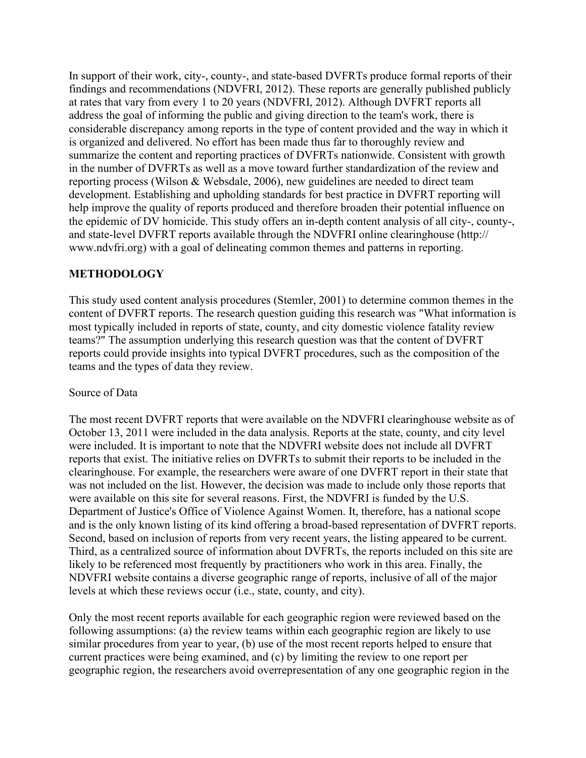In support of their work, city-, county-, and state-based DVFRTs produce formal reports of their findings and recommendations (NDVFRI, 2012). These reports are generally published publicly at rates that vary from every 1 to 20 years (NDVFRI, 2012). Although DVFRT reports all address the goal of informing the public and giving direction to the team's work, there is considerable discrepancy among reports in the type of content provided and the way in which it is organized and delivered. No effort has been made thus far to thoroughly review and summarize the content and reporting practices of DVFRTs nationwide. Consistent with growth in the number of DVFRTs as well as a move toward further standardization of the review and reporting process (Wilson & Websdale, 2006), new guidelines are needed to direct team development. Establishing and upholding standards for best practice in DVFRT reporting will help improve the quality of reports produced and therefore broaden their potential influence on the epidemic of DV homicide. This study offers an in-depth content analysis of all city-, county-, and state-level DVFRT reports available through the NDVFRI online clearinghouse (http:// www.ndvfri.org) with a goal of delineating common themes and patterns in reporting.

#### **METHODOLOGY**

This study used content analysis procedures (Stemler, 2001) to determine common themes in the content of DVFRT reports. The research question guiding this research was "What information is most typically included in reports of state, county, and city domestic violence fatality review teams?" The assumption underlying this research question was that the content of DVFRT reports could provide insights into typical DVFRT procedures, such as the composition of the teams and the types of data they review.

#### Source of Data

The most recent DVFRT reports that were available on the NDVFRI clearinghouse website as of October 13, 2011 were included in the data analysis. Reports at the state, county, and city level were included. It is important to note that the NDVFRI website does not include all DVFRT reports that exist. The initiative relies on DVFRTs to submit their reports to be included in the clearinghouse. For example, the researchers were aware of one DVFRT report in their state that was not included on the list. However, the decision was made to include only those reports that were available on this site for several reasons. First, the NDVFRI is funded by the U.S. Department of Justice's Office of Violence Against Women. It, therefore, has a national scope and is the only known listing of its kind offering a broad-based representation of DVFRT reports. Second, based on inclusion of reports from very recent years, the listing appeared to be current. Third, as a centralized source of information about DVFRTs, the reports included on this site are likely to be referenced most frequently by practitioners who work in this area. Finally, the NDVFRI website contains a diverse geographic range of reports, inclusive of all of the major levels at which these reviews occur (i.e., state, county, and city).

Only the most recent reports available for each geographic region were reviewed based on the following assumptions: (a) the review teams within each geographic region are likely to use similar procedures from year to year, (b) use of the most recent reports helped to ensure that current practices were being examined, and (c) by limiting the review to one report per geographic region, the researchers avoid overrepresentation of any one geographic region in the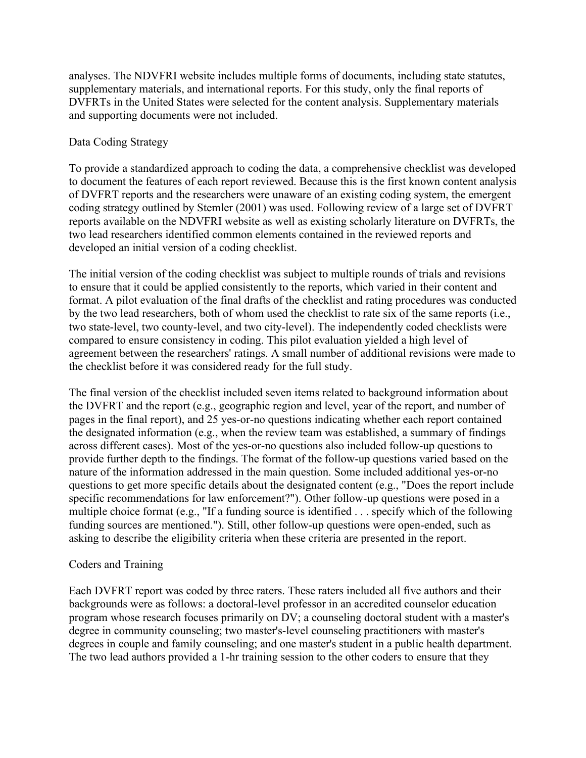analyses. The NDVFRI website includes multiple forms of documents, including state statutes, supplementary materials, and international reports. For this study, only the final reports of DVFRTs in the United States were selected for the content analysis. Supplementary materials and supporting documents were not included.

### Data Coding Strategy

To provide a standardized approach to coding the data, a comprehensive checklist was developed to document the features of each report reviewed. Because this is the first known content analysis of DVFRT reports and the researchers were unaware of an existing coding system, the emergent coding strategy outlined by Stemler (2001) was used. Following review of a large set of DVFRT reports available on the NDVFRI website as well as existing scholarly literature on DVFRTs, the two lead researchers identified common elements contained in the reviewed reports and developed an initial version of a coding checklist.

The initial version of the coding checklist was subject to multiple rounds of trials and revisions to ensure that it could be applied consistently to the reports, which varied in their content and format. A pilot evaluation of the final drafts of the checklist and rating procedures was conducted by the two lead researchers, both of whom used the checklist to rate six of the same reports (i.e., two state-level, two county-level, and two city-level). The independently coded checklists were compared to ensure consistency in coding. This pilot evaluation yielded a high level of agreement between the researchers' ratings. A small number of additional revisions were made to the checklist before it was considered ready for the full study.

The final version of the checklist included seven items related to background information about the DVFRT and the report (e.g., geographic region and level, year of the report, and number of pages in the final report), and 25 yes-or-no questions indicating whether each report contained the designated information (e.g., when the review team was established, a summary of findings across different cases). Most of the yes-or-no questions also included follow-up questions to provide further depth to the findings. The format of the follow-up questions varied based on the nature of the information addressed in the main question. Some included additional yes-or-no questions to get more specific details about the designated content (e.g., "Does the report include specific recommendations for law enforcement?"). Other follow-up questions were posed in a multiple choice format (e.g., "If a funding source is identified . . . specify which of the following funding sources are mentioned."). Still, other follow-up questions were open-ended, such as asking to describe the eligibility criteria when these criteria are presented in the report.

#### Coders and Training

Each DVFRT report was coded by three raters. These raters included all five authors and their backgrounds were as follows: a doctoral-level professor in an accredited counselor education program whose research focuses primarily on DV; a counseling doctoral student with a master's degree in community counseling; two master's-level counseling practitioners with master's degrees in couple and family counseling; and one master's student in a public health department. The two lead authors provided a 1-hr training session to the other coders to ensure that they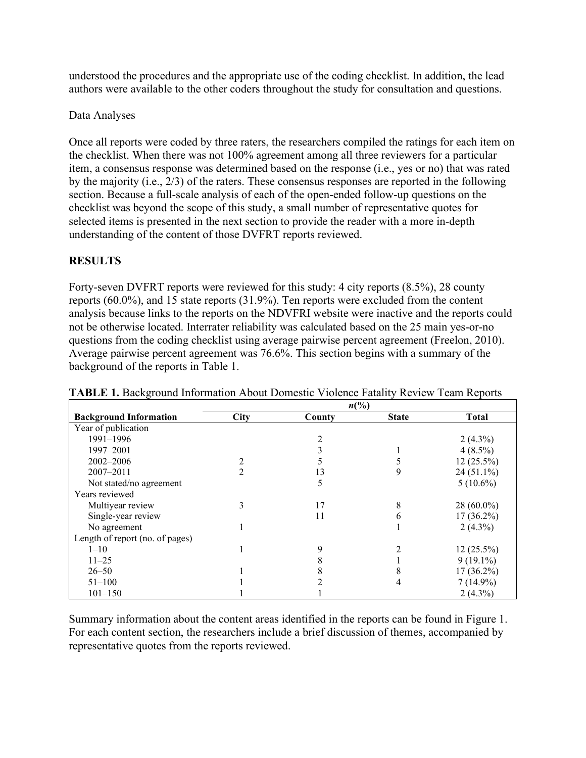understood the procedures and the appropriate use of the coding checklist. In addition, the lead authors were available to the other coders throughout the study for consultation and questions.

### Data Analyses

Once all reports were coded by three raters, the researchers compiled the ratings for each item on the checklist. When there was not 100% agreement among all three reviewers for a particular item, a consensus response was determined based on the response (i.e., yes or no) that was rated by the majority (i.e., 2/3) of the raters. These consensus responses are reported in the following section. Because a full-scale analysis of each of the open-ended follow-up questions on the checklist was beyond the scope of this study, a small number of representative quotes for selected items is presented in the next section to provide the reader with a more in-depth understanding of the content of those DVFRT reports reviewed.

# **RESULTS**

Forty-seven DVFRT reports were reviewed for this study: 4 city reports (8.5%), 28 county reports (60.0%), and 15 state reports (31.9%). Ten reports were excluded from the content analysis because links to the reports on the NDVFRI website were inactive and the reports could not be otherwise located. Interrater reliability was calculated based on the 25 main yes-or-no questions from the coding checklist using average pairwise percent agreement (Freelon, 2010). Average pairwise percent agreement was 76.6%. This section begins with a summary of the background of the reports in Table 1.

| ื่⊂                             | $n\binom{0}{0}$ |        |              |              |  |  |
|---------------------------------|-----------------|--------|--------------|--------------|--|--|
| <b>Background Information</b>   | City            | County | <b>State</b> | <b>Total</b> |  |  |
| Year of publication             |                 |        |              |              |  |  |
| 1991-1996                       |                 |        |              | $2(4.3\%)$   |  |  |
| 1997-2001                       |                 |        |              | $4(8.5\%)$   |  |  |
| 2002-2006                       |                 |        |              | $12(25.5\%)$ |  |  |
| $2007 - 2011$                   | 2               | 13     | 9            | $24(51.1\%)$ |  |  |
| Not stated/no agreement         |                 | 5      |              | $5(10.6\%)$  |  |  |
| Years reviewed                  |                 |        |              |              |  |  |
| Multiyear review                | 3               | 17     | 8            | $28(60.0\%)$ |  |  |
| Single-year review              |                 | 11     | 6            | $17(36.2\%)$ |  |  |
| No agreement                    |                 |        |              | $2(4.3\%)$   |  |  |
| Length of report (no. of pages) |                 |        |              |              |  |  |
| $1 - 10$                        |                 | 9      |              | $12(25.5\%)$ |  |  |
| $11 - 25$                       |                 |        |              | $9(19.1\%)$  |  |  |
| $26 - 50$                       |                 |        |              | $17(36.2\%)$ |  |  |
| $51 - 100$                      |                 |        |              | $7(14.9\%)$  |  |  |
| $101 - 150$                     |                 |        |              | $2(4.3\%)$   |  |  |

Summary information about the content areas identified in the reports can be found in Figure 1. For each content section, the researchers include a brief discussion of themes, accompanied by representative quotes from the reports reviewed.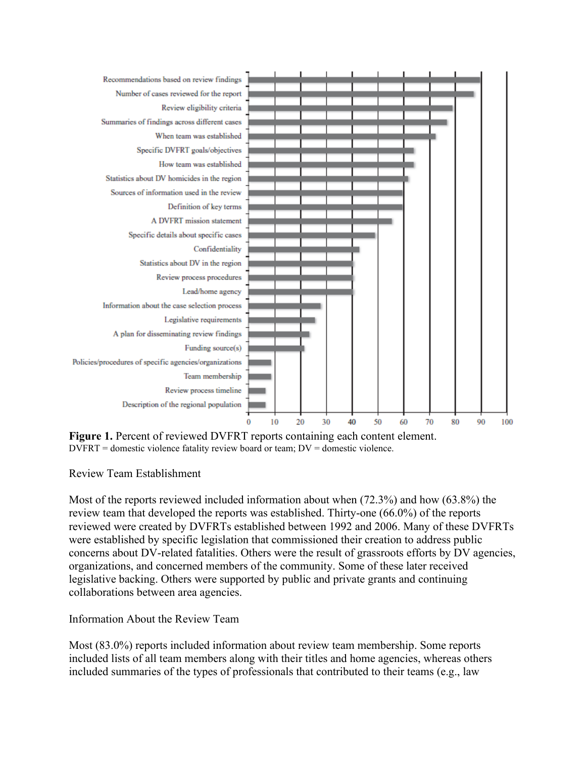

**Figure 1.** Percent of reviewed DVFRT reports containing each content element. DVFRT = domestic violence fatality review board or team; DV = domestic violence.

Review Team Establishment

Most of the reports reviewed included information about when (72.3%) and how (63.8%) the review team that developed the reports was established. Thirty-one (66.0%) of the reports reviewed were created by DVFRTs established between 1992 and 2006. Many of these DVFRTs were established by specific legislation that commissioned their creation to address public concerns about DV-related fatalities. Others were the result of grassroots efforts by DV agencies, organizations, and concerned members of the community. Some of these later received legislative backing. Others were supported by public and private grants and continuing collaborations between area agencies.

Information About the Review Team

Most (83.0%) reports included information about review team membership. Some reports included lists of all team members along with their titles and home agencies, whereas others included summaries of the types of professionals that contributed to their teams (e.g., law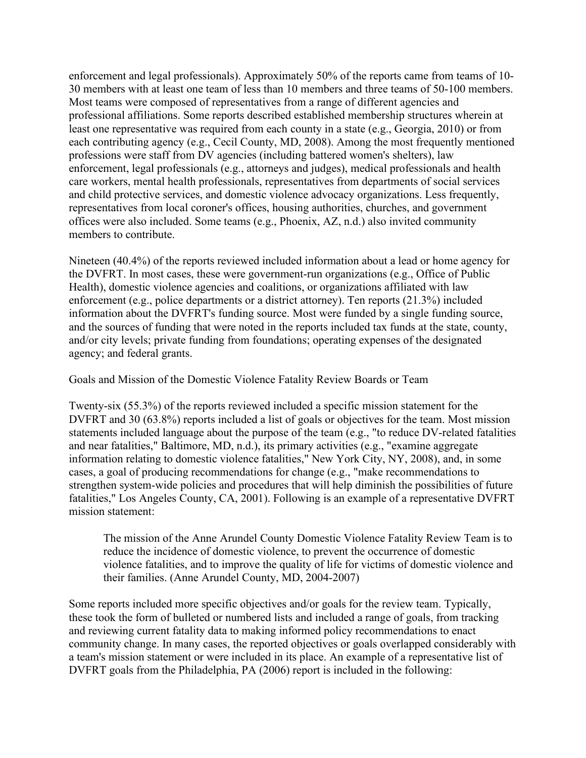enforcement and legal professionals). Approximately 50% of the reports came from teams of 10- 30 members with at least one team of less than 10 members and three teams of 50-100 members. Most teams were composed of representatives from a range of different agencies and professional affiliations. Some reports described established membership structures wherein at least one representative was required from each county in a state (e.g., Georgia, 2010) or from each contributing agency (e.g., Cecil County, MD, 2008). Among the most frequently mentioned professions were staff from DV agencies (including battered women's shelters), law enforcement, legal professionals (e.g., attorneys and judges), medical professionals and health care workers, mental health professionals, representatives from departments of social services and child protective services, and domestic violence advocacy organizations. Less frequently, representatives from local coroner's offices, housing authorities, churches, and government offices were also included. Some teams (e.g., Phoenix, AZ, n.d.) also invited community members to contribute.

Nineteen (40.4%) of the reports reviewed included information about a lead or home agency for the DVFRT. In most cases, these were government-run organizations (e.g., Office of Public Health), domestic violence agencies and coalitions, or organizations affiliated with law enforcement (e.g., police departments or a district attorney). Ten reports (21.3%) included information about the DVFRT's funding source. Most were funded by a single funding source, and the sources of funding that were noted in the reports included tax funds at the state, county, and/or city levels; private funding from foundations; operating expenses of the designated agency; and federal grants.

Goals and Mission of the Domestic Violence Fatality Review Boards or Team

Twenty-six (55.3%) of the reports reviewed included a specific mission statement for the DVFRT and 30 (63.8%) reports included a list of goals or objectives for the team. Most mission statements included language about the purpose of the team (e.g., "to reduce DV-related fatalities and near fatalities," Baltimore, MD, n.d.), its primary activities (e.g., "examine aggregate information relating to domestic violence fatalities," New York City, NY, 2008), and, in some cases, a goal of producing recommendations for change (e.g., "make recommendations to strengthen system-wide policies and procedures that will help diminish the possibilities of future fatalities," Los Angeles County, CA, 2001). Following is an example of a representative DVFRT mission statement:

The mission of the Anne Arundel County Domestic Violence Fatality Review Team is to reduce the incidence of domestic violence, to prevent the occurrence of domestic violence fatalities, and to improve the quality of life for victims of domestic violence and their families. (Anne Arundel County, MD, 2004-2007)

Some reports included more specific objectives and/or goals for the review team. Typically, these took the form of bulleted or numbered lists and included a range of goals, from tracking and reviewing current fatality data to making informed policy recommendations to enact community change. In many cases, the reported objectives or goals overlapped considerably with a team's mission statement or were included in its place. An example of a representative list of DVFRT goals from the Philadelphia, PA (2006) report is included in the following: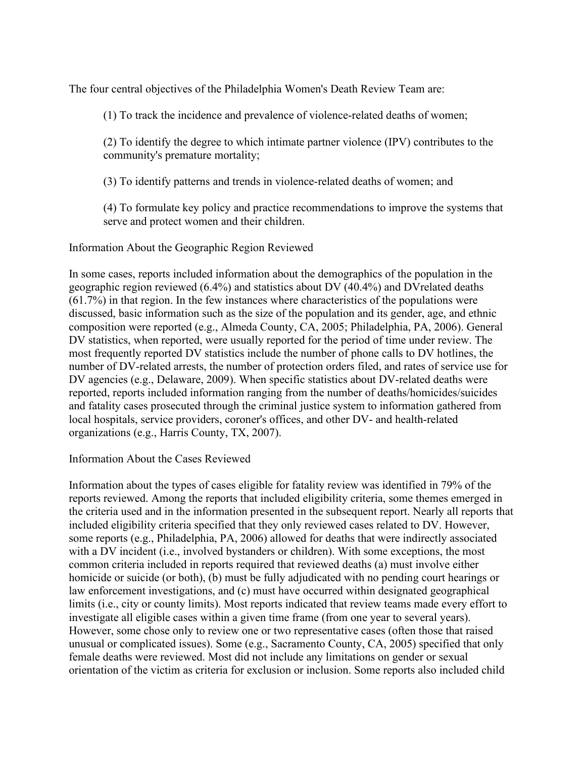The four central objectives of the Philadelphia Women's Death Review Team are:

(1) To track the incidence and prevalence of violence-related deaths of women;

(2) To identify the degree to which intimate partner violence (IPV) contributes to the community's premature mortality;

(3) To identify patterns and trends in violence-related deaths of women; and

(4) To formulate key policy and practice recommendations to improve the systems that serve and protect women and their children.

Information About the Geographic Region Reviewed

In some cases, reports included information about the demographics of the population in the geographic region reviewed (6.4%) and statistics about DV (40.4%) and DVrelated deaths (61.7%) in that region. In the few instances where characteristics of the populations were discussed, basic information such as the size of the population and its gender, age, and ethnic composition were reported (e.g., Almeda County, CA, 2005; Philadelphia, PA, 2006). General DV statistics, when reported, were usually reported for the period of time under review. The most frequently reported DV statistics include the number of phone calls to DV hotlines, the number of DV-related arrests, the number of protection orders filed, and rates of service use for DV agencies (e.g., Delaware, 2009). When specific statistics about DV-related deaths were reported, reports included information ranging from the number of deaths/homicides/suicides and fatality cases prosecuted through the criminal justice system to information gathered from local hospitals, service providers, coroner's offices, and other DV- and health-related organizations (e.g., Harris County, TX, 2007).

Information About the Cases Reviewed

Information about the types of cases eligible for fatality review was identified in 79% of the reports reviewed. Among the reports that included eligibility criteria, some themes emerged in the criteria used and in the information presented in the subsequent report. Nearly all reports that included eligibility criteria specified that they only reviewed cases related to DV. However, some reports (e.g., Philadelphia, PA, 2006) allowed for deaths that were indirectly associated with a DV incident (i.e., involved bystanders or children). With some exceptions, the most common criteria included in reports required that reviewed deaths (a) must involve either homicide or suicide (or both), (b) must be fully adjudicated with no pending court hearings or law enforcement investigations, and (c) must have occurred within designated geographical limits (i.e., city or county limits). Most reports indicated that review teams made every effort to investigate all eligible cases within a given time frame (from one year to several years). However, some chose only to review one or two representative cases (often those that raised unusual or complicated issues). Some (e.g., Sacramento County, CA, 2005) specified that only female deaths were reviewed. Most did not include any limitations on gender or sexual orientation of the victim as criteria for exclusion or inclusion. Some reports also included child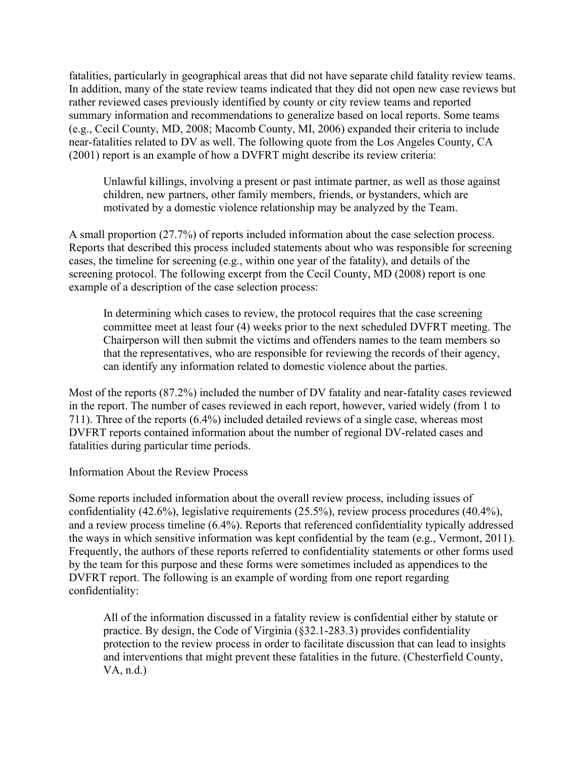fatalities, particularly in geographical areas that did not have separate child fatality review teams. In addition, many of the state review teams indicated that they did not open new case reviews but rather reviewed cases previously identified by county or city review teams and reported summary information and recommendations to generalize based on local reports. Some teams (e.g., Cecil County, MD, 2008; Macomb County, MI, 2006) expanded their criteria to include near-fatalities related to DV as well. The following quote from the Los Angeles County, CA (2001) report is an example of how a DVFRT might describe its review criteria:

Unlawful killings, involving a present or past intimate partner, as well as those against children, new partners, other family members, friends, or bystanders, which are motivated by a domestic violence relationship may be analyzed by the Team.

A small proportion (27.7%) of reports included information about the case selection process. Reports that described this process included statements about who was responsible for screening cases, the timeline for screening (e.g., within one year of the fatality), and details of the screening protocol. The following excerpt from the Cecil County, MD (2008) report is one example of a description of the case selection process:

In determining which cases to review, the protocol requires that the case screening committee meet at least four (4) weeks prior to the next scheduled DVFRT meeting. The Chairperson will then submit the victims and offenders names to the team members so that the representatives, who are responsible for reviewing the records of their agency, can identify any information related to domestic violence about the parties.

Most of the reports (87.2%) included the number of DV fatality and near-fatality cases reviewed in the report. The number of cases reviewed in each report, however, varied widely (from 1 to 711). Three of the reports (6.4%) included detailed reviews of a single case, whereas most DVFRT reports contained information about the number of regional DV-related cases and fatalities during particular time periods.

Information About the Review Process

Some reports included information about the overall review process, including issues of confidentiality (42.6%), legislative requirements (25.5%), review process procedures (40.4%), and a review process timeline (6.4%). Reports that referenced confidentiality typically addressed the ways in which sensitive information was kept confidential by the team (e.g., Vermont, 2011). Frequently, the authors of these reports referred to confidentiality statements or other forms used by the team for this purpose and these forms were sometimes included as appendices to the DVFRT report. The following is an example of wording from one report regarding confidentiality:

All of the information discussed in a fatality review is confidential either by statute or practice. By design, the Code of Virginia (§32.1-283.3) provides confidentiality protection to the review process in order to facilitate discussion that can lead to insights and interventions that might prevent these fatalities in the future. (Chesterfield County, VA, n.d.)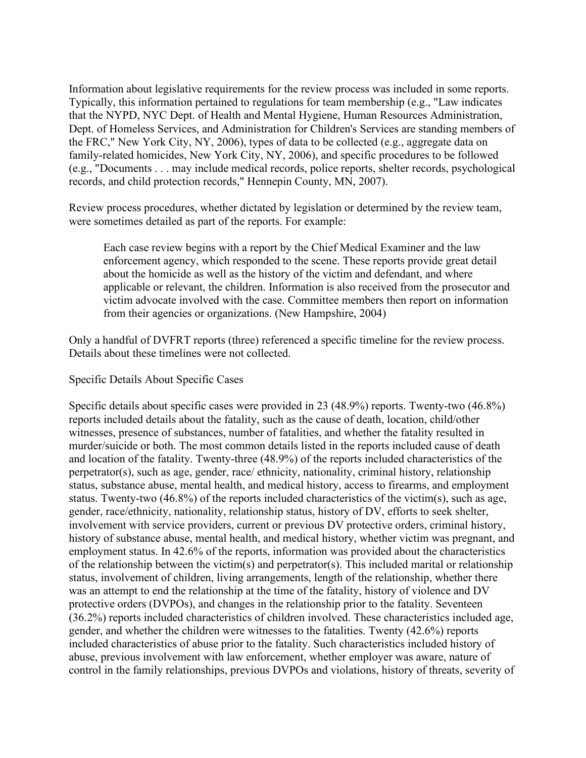Information about legislative requirements for the review process was included in some reports. Typically, this information pertained to regulations for team membership (e.g., "Law indicates that the NYPD, NYC Dept. of Health and Mental Hygiene, Human Resources Administration, Dept. of Homeless Services, and Administration for Children's Services are standing members of the FRC," New York City, NY, 2006), types of data to be collected (e.g., aggregate data on family-related homicides, New York City, NY, 2006), and specific procedures to be followed (e.g., "Documents . . . may include medical records, police reports, shelter records, psychological records, and child protection records," Hennepin County, MN, 2007).

Review process procedures, whether dictated by legislation or determined by the review team, were sometimes detailed as part of the reports. For example:

Each case review begins with a report by the Chief Medical Examiner and the law enforcement agency, which responded to the scene. These reports provide great detail about the homicide as well as the history of the victim and defendant, and where applicable or relevant, the children. Information is also received from the prosecutor and victim advocate involved with the case. Committee members then report on information from their agencies or organizations. (New Hampshire, 2004)

Only a handful of DVFRT reports (three) referenced a specific timeline for the review process. Details about these timelines were not collected.

Specific Details About Specific Cases

Specific details about specific cases were provided in 23 (48.9%) reports. Twenty-two (46.8%) reports included details about the fatality, such as the cause of death, location, child/other witnesses, presence of substances, number of fatalities, and whether the fatality resulted in murder/suicide or both. The most common details listed in the reports included cause of death and location of the fatality. Twenty-three (48.9%) of the reports included characteristics of the perpetrator(s), such as age, gender, race/ ethnicity, nationality, criminal history, relationship status, substance abuse, mental health, and medical history, access to firearms, and employment status. Twenty-two (46.8%) of the reports included characteristics of the victim(s), such as age, gender, race/ethnicity, nationality, relationship status, history of DV, efforts to seek shelter, involvement with service providers, current or previous DV protective orders, criminal history, history of substance abuse, mental health, and medical history, whether victim was pregnant, and employment status. In 42.6% of the reports, information was provided about the characteristics of the relationship between the victim(s) and perpetrator(s). This included marital or relationship status, involvement of children, living arrangements, length of the relationship, whether there was an attempt to end the relationship at the time of the fatality, history of violence and DV protective orders (DVPOs), and changes in the relationship prior to the fatality. Seventeen (36.2%) reports included characteristics of children involved. These characteristics included age, gender, and whether the children were witnesses to the fatalities. Twenty (42.6%) reports included characteristics of abuse prior to the fatality. Such characteristics included history of abuse, previous involvement with law enforcement, whether employer was aware, nature of control in the family relationships, previous DVPOs and violations, history of threats, severity of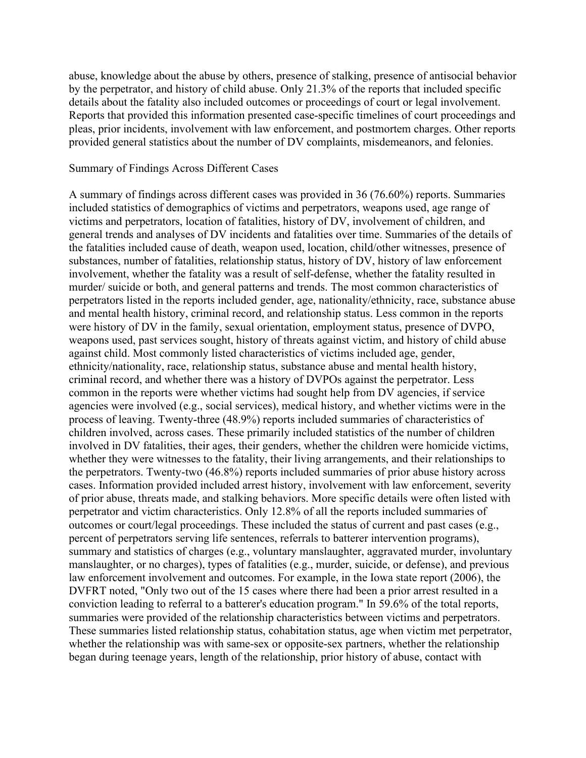abuse, knowledge about the abuse by others, presence of stalking, presence of antisocial behavior by the perpetrator, and history of child abuse. Only 21.3% of the reports that included specific details about the fatality also included outcomes or proceedings of court or legal involvement. Reports that provided this information presented case-specific timelines of court proceedings and pleas, prior incidents, involvement with law enforcement, and postmortem charges. Other reports provided general statistics about the number of DV complaints, misdemeanors, and felonies.

#### Summary of Findings Across Different Cases

A summary of findings across different cases was provided in 36 (76.60%) reports. Summaries included statistics of demographics of victims and perpetrators, weapons used, age range of victims and perpetrators, location of fatalities, history of DV, involvement of children, and general trends and analyses of DV incidents and fatalities over time. Summaries of the details of the fatalities included cause of death, weapon used, location, child/other witnesses, presence of substances, number of fatalities, relationship status, history of DV, history of law enforcement involvement, whether the fatality was a result of self-defense, whether the fatality resulted in murder/ suicide or both, and general patterns and trends. The most common characteristics of perpetrators listed in the reports included gender, age, nationality/ethnicity, race, substance abuse and mental health history, criminal record, and relationship status. Less common in the reports were history of DV in the family, sexual orientation, employment status, presence of DVPO, weapons used, past services sought, history of threats against victim, and history of child abuse against child. Most commonly listed characteristics of victims included age, gender, ethnicity/nationality, race, relationship status, substance abuse and mental health history, criminal record, and whether there was a history of DVPOs against the perpetrator. Less common in the reports were whether victims had sought help from DV agencies, if service agencies were involved (e.g., social services), medical history, and whether victims were in the process of leaving. Twenty-three (48.9%) reports included summaries of characteristics of children involved, across cases. These primarily included statistics of the number of children involved in DV fatalities, their ages, their genders, whether the children were homicide victims, whether they were witnesses to the fatality, their living arrangements, and their relationships to the perpetrators. Twenty-two (46.8%) reports included summaries of prior abuse history across cases. Information provided included arrest history, involvement with law enforcement, severity of prior abuse, threats made, and stalking behaviors. More specific details were often listed with perpetrator and victim characteristics. Only 12.8% of all the reports included summaries of outcomes or court/legal proceedings. These included the status of current and past cases (e.g., percent of perpetrators serving life sentences, referrals to batterer intervention programs), summary and statistics of charges (e.g., voluntary manslaughter, aggravated murder, involuntary manslaughter, or no charges), types of fatalities (e.g., murder, suicide, or defense), and previous law enforcement involvement and outcomes. For example, in the Iowa state report (2006), the DVFRT noted, "Only two out of the 15 cases where there had been a prior arrest resulted in a conviction leading to referral to a batterer's education program." In 59.6% of the total reports, summaries were provided of the relationship characteristics between victims and perpetrators. These summaries listed relationship status, cohabitation status, age when victim met perpetrator, whether the relationship was with same-sex or opposite-sex partners, whether the relationship began during teenage years, length of the relationship, prior history of abuse, contact with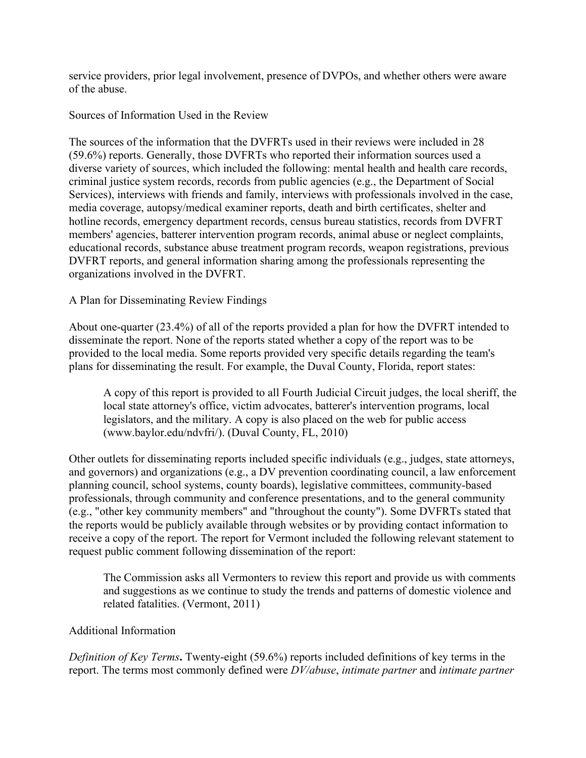service providers, prior legal involvement, presence of DVPOs, and whether others were aware of the abuse.

Sources of Information Used in the Review

The sources of the information that the DVFRTs used in their reviews were included in 28 (59.6%) reports. Generally, those DVFRTs who reported their information sources used a diverse variety of sources, which included the following: mental health and health care records, criminal justice system records, records from public agencies (e.g., the Department of Social Services), interviews with friends and family, interviews with professionals involved in the case, media coverage, autopsy/medical examiner reports, death and birth certificates, shelter and hotline records, emergency department records, census bureau statistics, records from DVFRT members' agencies, batterer intervention program records, animal abuse or neglect complaints, educational records, substance abuse treatment program records, weapon registrations, previous DVFRT reports, and general information sharing among the professionals representing the organizations involved in the DVFRT.

## A Plan for Disseminating Review Findings

About one-quarter (23.4%) of all of the reports provided a plan for how the DVFRT intended to disseminate the report. None of the reports stated whether a copy of the report was to be provided to the local media. Some reports provided very specific details regarding the team's plans for disseminating the result. For example, the Duval County, Florida, report states:

A copy of this report is provided to all Fourth Judicial Circuit judges, the local sheriff, the local state attorney's office, victim advocates, batterer's intervention programs, local legislators, and the military. A copy is also placed on the web for public access (www.baylor.edu/ndvfri/). (Duval County, FL, 2010)

Other outlets for disseminating reports included specific individuals (e.g., judges, state attorneys, and governors) and organizations (e.g., a DV prevention coordinating council, a law enforcement planning council, school systems, county boards), legislative committees, community-based professionals, through community and conference presentations, and to the general community (e.g., "other key community members" and "throughout the county"). Some DVFRTs stated that the reports would be publicly available through websites or by providing contact information to receive a copy of the report. The report for Vermont included the following relevant statement to request public comment following dissemination of the report:

The Commission asks all Vermonters to review this report and provide us with comments and suggestions as we continue to study the trends and patterns of domestic violence and related fatalities. (Vermont, 2011)

#### Additional Information

*Definition of Key Terms***.** Twenty-eight (59.6%) reports included definitions of key terms in the report. The terms most commonly defined were *DV/abuse*, *intimate partner* and *intimate partner*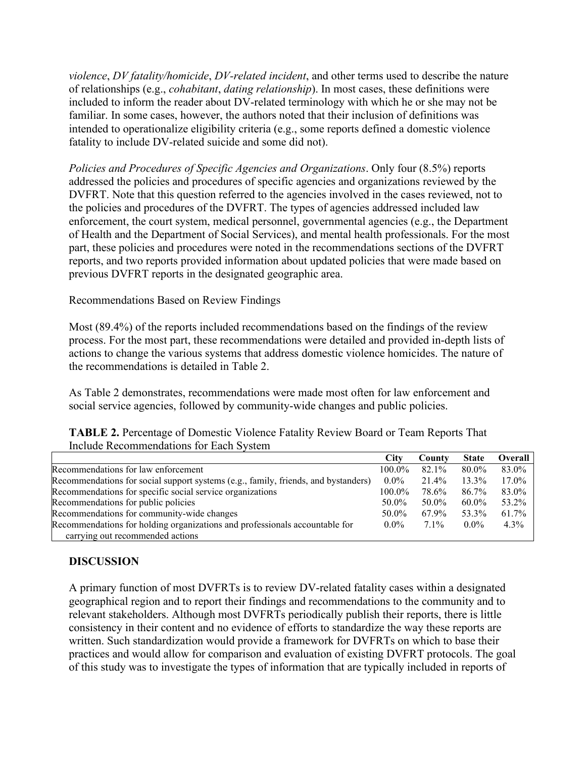*violence*, *DV fatality/homicide*, *DV-related incident*, and other terms used to describe the nature of relationships (e.g., *cohabitant*, *dating relationship*). In most cases, these definitions were included to inform the reader about DV-related terminology with which he or she may not be familiar. In some cases, however, the authors noted that their inclusion of definitions was intended to operationalize eligibility criteria (e.g., some reports defined a domestic violence fatality to include DV-related suicide and some did not).

*Policies and Procedures of Specific Agencies and Organizations*. Only four (8.5%) reports addressed the policies and procedures of specific agencies and organizations reviewed by the DVFRT. Note that this question referred to the agencies involved in the cases reviewed, not to the policies and procedures of the DVFRT. The types of agencies addressed included law enforcement, the court system, medical personnel, governmental agencies (e.g., the Department of Health and the Department of Social Services), and mental health professionals. For the most part, these policies and procedures were noted in the recommendations sections of the DVFRT reports, and two reports provided information about updated policies that were made based on previous DVFRT reports in the designated geographic area.

Recommendations Based on Review Findings

Most (89.4%) of the reports included recommendations based on the findings of the review process. For the most part, these recommendations were detailed and provided in-depth lists of actions to change the various systems that address domestic violence homicides. The nature of the recommendations is detailed in Table 2.

As Table 2 demonstrates, recommendations were made most often for law enforcement and social service agencies, followed by community-wide changes and public policies.

| <b>TABLE 2.</b> Percentage of Domestic Violence Fatality Review Board or Team Reports That |  |  |
|--------------------------------------------------------------------------------------------|--|--|
| Include Recommendations for Each System                                                    |  |  |

|                                                                                    | <b>City</b> | County  | <b>State</b> | Overall |
|------------------------------------------------------------------------------------|-------------|---------|--------------|---------|
| Recommendations for law enforcement                                                | $100.0\%$   | 82.1%   | 80.0%        | 83.0%   |
| Recommendations for social support systems (e.g., family, friends, and bystanders) | $0.0\%$     | 21.4%   | 13.3%        | 17.0%   |
| Recommendations for specific social service organizations                          | $100.0\%$   | 78.6%   | 86.7%        | 83.0%   |
| Recommendations for public policies                                                | 50.0%       | 50.0%   | 60.0%        | 53.2%   |
| Recommendations for community-wide changes                                         | 50.0%       | 67.9%   | 53.3%        | 61.7%   |
| Recommendations for holding organizations and professionals accountable for        | $0.0\%$     | $7.1\%$ | $0.0\%$      | $4.3\%$ |
| carrying out recommended actions                                                   |             |         |              |         |

## **DISCUSSION**

A primary function of most DVFRTs is to review DV-related fatality cases within a designated geographical region and to report their findings and recommendations to the community and to relevant stakeholders. Although most DVFRTs periodically publish their reports, there is little consistency in their content and no evidence of efforts to standardize the way these reports are written. Such standardization would provide a framework for DVFRTs on which to base their practices and would allow for comparison and evaluation of existing DVFRT protocols. The goal of this study was to investigate the types of information that are typically included in reports of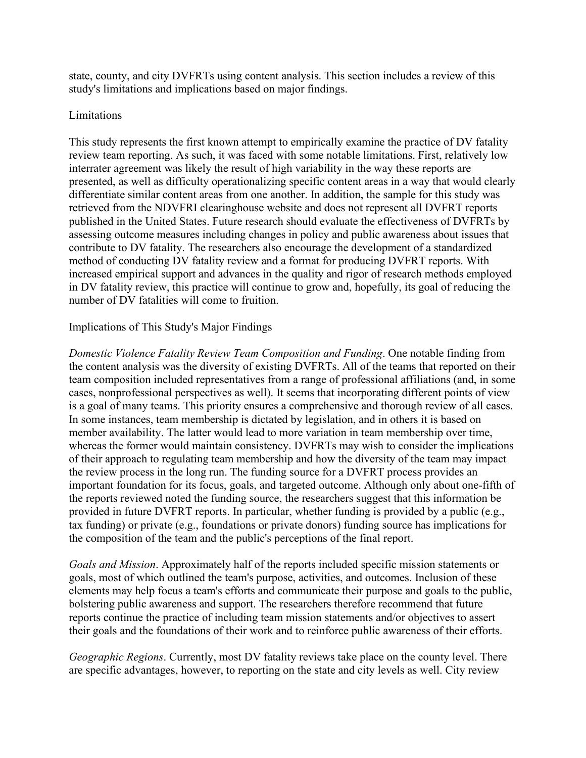state, county, and city DVFRTs using content analysis. This section includes a review of this study's limitations and implications based on major findings.

#### Limitations

This study represents the first known attempt to empirically examine the practice of DV fatality review team reporting. As such, it was faced with some notable limitations. First, relatively low interrater agreement was likely the result of high variability in the way these reports are presented, as well as difficulty operationalizing specific content areas in a way that would clearly differentiate similar content areas from one another. In addition, the sample for this study was retrieved from the NDVFRI clearinghouse website and does not represent all DVFRT reports published in the United States. Future research should evaluate the effectiveness of DVFRTs by assessing outcome measures including changes in policy and public awareness about issues that contribute to DV fatality. The researchers also encourage the development of a standardized method of conducting DV fatality review and a format for producing DVFRT reports. With increased empirical support and advances in the quality and rigor of research methods employed in DV fatality review, this practice will continue to grow and, hopefully, its goal of reducing the number of DV fatalities will come to fruition.

## Implications of This Study's Major Findings

*Domestic Violence Fatality Review Team Composition and Funding*. One notable finding from the content analysis was the diversity of existing DVFRTs. All of the teams that reported on their team composition included representatives from a range of professional affiliations (and, in some cases, nonprofessional perspectives as well). It seems that incorporating different points of view is a goal of many teams. This priority ensures a comprehensive and thorough review of all cases. In some instances, team membership is dictated by legislation, and in others it is based on member availability. The latter would lead to more variation in team membership over time, whereas the former would maintain consistency. DVFRTs may wish to consider the implications of their approach to regulating team membership and how the diversity of the team may impact the review process in the long run. The funding source for a DVFRT process provides an important foundation for its focus, goals, and targeted outcome. Although only about one-fifth of the reports reviewed noted the funding source, the researchers suggest that this information be provided in future DVFRT reports. In particular, whether funding is provided by a public (e.g., tax funding) or private (e.g., foundations or private donors) funding source has implications for the composition of the team and the public's perceptions of the final report.

*Goals and Mission*. Approximately half of the reports included specific mission statements or goals, most of which outlined the team's purpose, activities, and outcomes. Inclusion of these elements may help focus a team's efforts and communicate their purpose and goals to the public, bolstering public awareness and support. The researchers therefore recommend that future reports continue the practice of including team mission statements and/or objectives to assert their goals and the foundations of their work and to reinforce public awareness of their efforts.

*Geographic Regions*. Currently, most DV fatality reviews take place on the county level. There are specific advantages, however, to reporting on the state and city levels as well. City review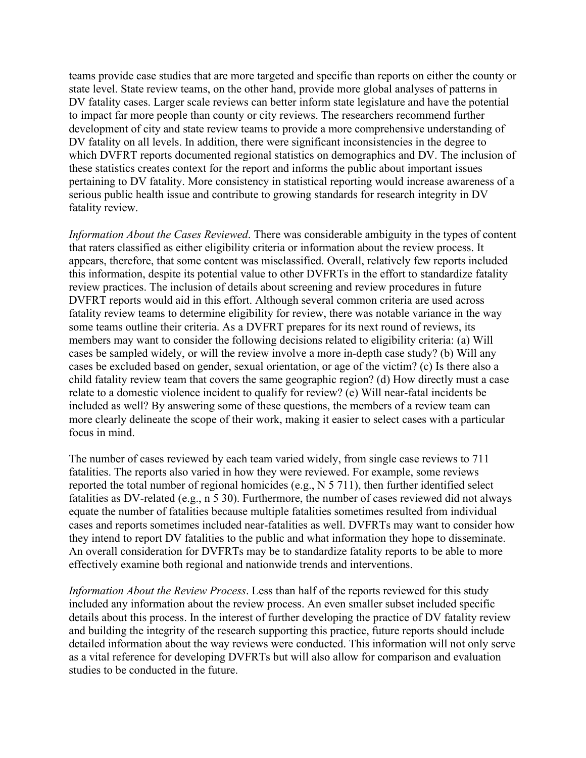teams provide case studies that are more targeted and specific than reports on either the county or state level. State review teams, on the other hand, provide more global analyses of patterns in DV fatality cases. Larger scale reviews can better inform state legislature and have the potential to impact far more people than county or city reviews. The researchers recommend further development of city and state review teams to provide a more comprehensive understanding of DV fatality on all levels. In addition, there were significant inconsistencies in the degree to which DVFRT reports documented regional statistics on demographics and DV. The inclusion of these statistics creates context for the report and informs the public about important issues pertaining to DV fatality. More consistency in statistical reporting would increase awareness of a serious public health issue and contribute to growing standards for research integrity in DV fatality review.

*Information About the Cases Reviewed*. There was considerable ambiguity in the types of content that raters classified as either eligibility criteria or information about the review process. It appears, therefore, that some content was misclassified. Overall, relatively few reports included this information, despite its potential value to other DVFRTs in the effort to standardize fatality review practices. The inclusion of details about screening and review procedures in future DVFRT reports would aid in this effort. Although several common criteria are used across fatality review teams to determine eligibility for review, there was notable variance in the way some teams outline their criteria. As a DVFRT prepares for its next round of reviews, its members may want to consider the following decisions related to eligibility criteria: (a) Will cases be sampled widely, or will the review involve a more in-depth case study? (b) Will any cases be excluded based on gender, sexual orientation, or age of the victim? (c) Is there also a child fatality review team that covers the same geographic region? (d) How directly must a case relate to a domestic violence incident to qualify for review? (e) Will near-fatal incidents be included as well? By answering some of these questions, the members of a review team can more clearly delineate the scope of their work, making it easier to select cases with a particular focus in mind.

The number of cases reviewed by each team varied widely, from single case reviews to 711 fatalities. The reports also varied in how they were reviewed. For example, some reviews reported the total number of regional homicides (e.g., N 5 711), then further identified select fatalities as DV-related (e.g., n 5 30). Furthermore, the number of cases reviewed did not always equate the number of fatalities because multiple fatalities sometimes resulted from individual cases and reports sometimes included near-fatalities as well. DVFRTs may want to consider how they intend to report DV fatalities to the public and what information they hope to disseminate. An overall consideration for DVFRTs may be to standardize fatality reports to be able to more effectively examine both regional and nationwide trends and interventions.

*Information About the Review Process*. Less than half of the reports reviewed for this study included any information about the review process. An even smaller subset included specific details about this process. In the interest of further developing the practice of DV fatality review and building the integrity of the research supporting this practice, future reports should include detailed information about the way reviews were conducted. This information will not only serve as a vital reference for developing DVFRTs but will also allow for comparison and evaluation studies to be conducted in the future.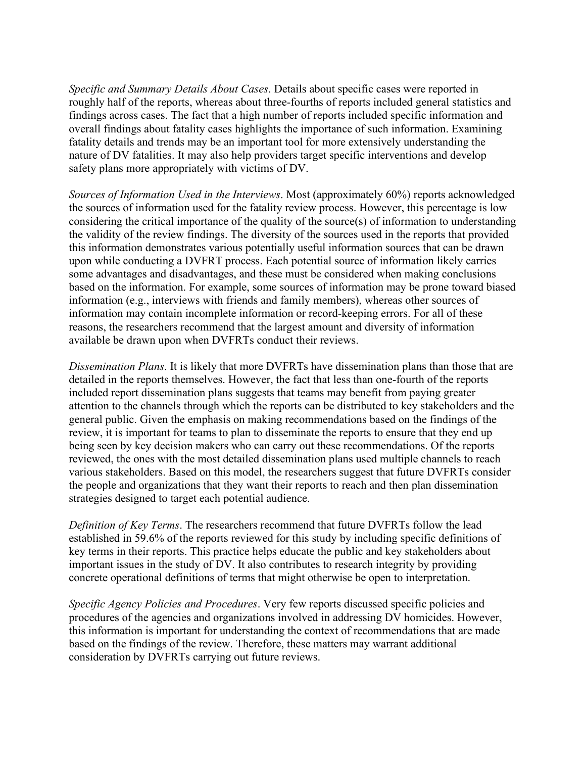*Specific and Summary Details About Cases*. Details about specific cases were reported in roughly half of the reports, whereas about three-fourths of reports included general statistics and findings across cases. The fact that a high number of reports included specific information and overall findings about fatality cases highlights the importance of such information. Examining fatality details and trends may be an important tool for more extensively understanding the nature of DV fatalities. It may also help providers target specific interventions and develop safety plans more appropriately with victims of DV.

*Sources of Information Used in the Interviews*. Most (approximately 60%) reports acknowledged the sources of information used for the fatality review process. However, this percentage is low considering the critical importance of the quality of the source(s) of information to understanding the validity of the review findings. The diversity of the sources used in the reports that provided this information demonstrates various potentially useful information sources that can be drawn upon while conducting a DVFRT process. Each potential source of information likely carries some advantages and disadvantages, and these must be considered when making conclusions based on the information. For example, some sources of information may be prone toward biased information (e.g., interviews with friends and family members), whereas other sources of information may contain incomplete information or record-keeping errors. For all of these reasons, the researchers recommend that the largest amount and diversity of information available be drawn upon when DVFRTs conduct their reviews.

*Dissemination Plans*. It is likely that more DVFRTs have dissemination plans than those that are detailed in the reports themselves. However, the fact that less than one-fourth of the reports included report dissemination plans suggests that teams may benefit from paying greater attention to the channels through which the reports can be distributed to key stakeholders and the general public. Given the emphasis on making recommendations based on the findings of the review, it is important for teams to plan to disseminate the reports to ensure that they end up being seen by key decision makers who can carry out these recommendations. Of the reports reviewed, the ones with the most detailed dissemination plans used multiple channels to reach various stakeholders. Based on this model, the researchers suggest that future DVFRTs consider the people and organizations that they want their reports to reach and then plan dissemination strategies designed to target each potential audience.

*Definition of Key Terms*. The researchers recommend that future DVFRTs follow the lead established in 59.6% of the reports reviewed for this study by including specific definitions of key terms in their reports. This practice helps educate the public and key stakeholders about important issues in the study of DV. It also contributes to research integrity by providing concrete operational definitions of terms that might otherwise be open to interpretation.

*Specific Agency Policies and Procedures*. Very few reports discussed specific policies and procedures of the agencies and organizations involved in addressing DV homicides. However, this information is important for understanding the context of recommendations that are made based on the findings of the review. Therefore, these matters may warrant additional consideration by DVFRTs carrying out future reviews.